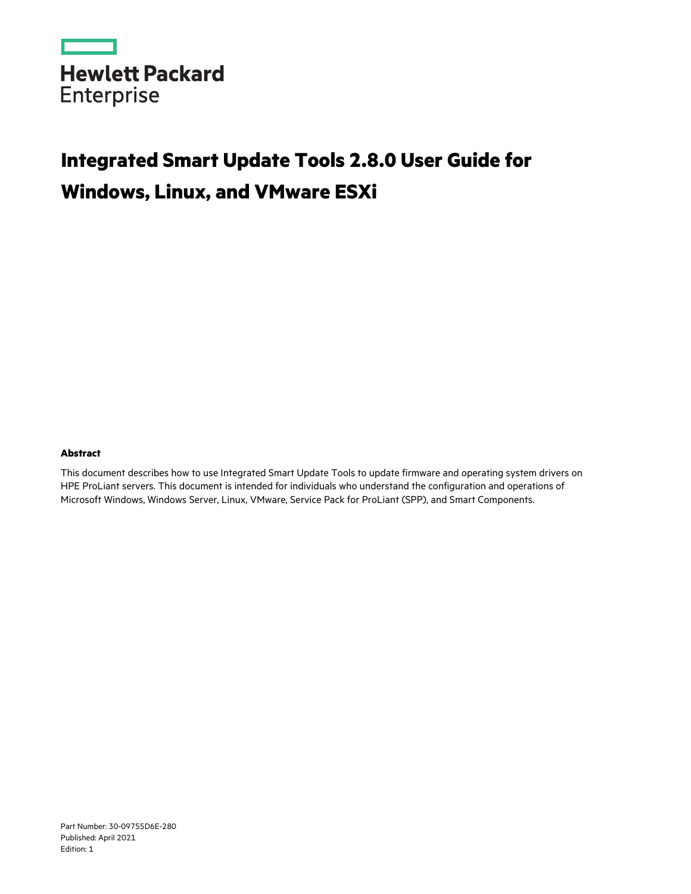

# **Integrated Smart Update Tools 2.8.0 User Guide for Windows, Linux, and VMware ESXi**

#### **Abstract**

This document describes how to use Integrated Smart Update Tools to update firmware and operating system drivers on HPE ProLiant servers. This document is intended for individuals who understand the configuration and operations of Microsoft Windows, Windows Server, Linux, VMware, Service Pack for ProLiant (SPP), and Smart Components.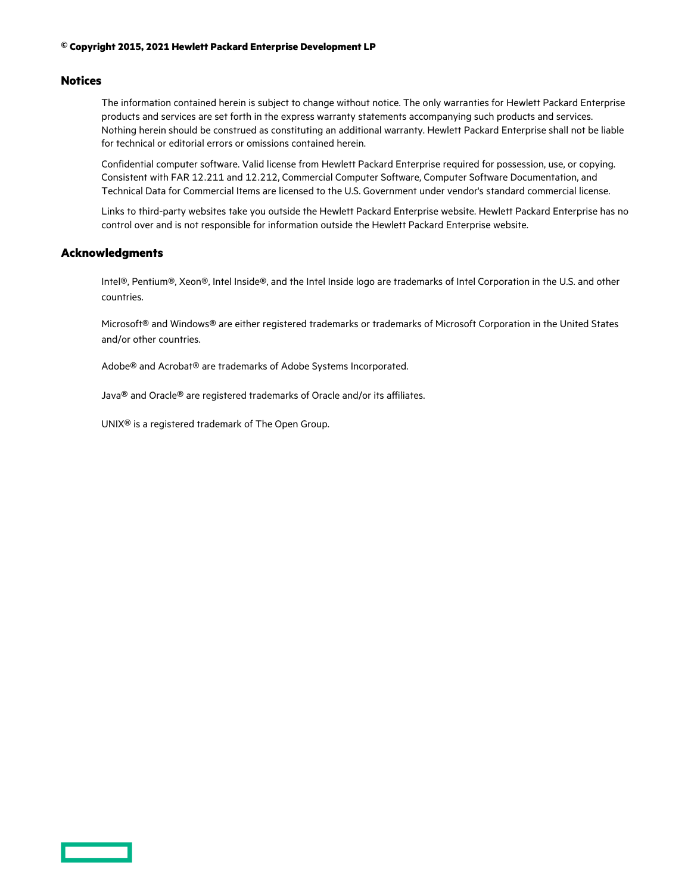#### **© Copyright 2015, 2021 Hewlett Packard Enterprise Development LP**

#### **Notices**

The information contained herein is subject to change without notice. The only warranties for Hewlett Packard Enterprise products and services are set forth in the express warranty statements accompanying such products and services. Nothing herein should be construed as constituting an additional warranty. Hewlett Packard Enterprise shall not be liable for technical or editorial errors or omissions contained herein.

Confidential computer software. Valid license from Hewlett Packard Enterprise required for possession, use, or copying. Consistent with FAR 12.211 and 12.212, Commercial Computer Software, Computer Software Documentation, and Technical Data for Commercial Items are licensed to the U.S. Government under vendor's standard commercial license.

Links to third-party websites take you outside the Hewlett Packard Enterprise website. Hewlett Packard Enterprise has no control over and is not responsible for information outside the Hewlett Packard Enterprise website.

#### **Acknowledgments**

Intel®, Pentium®, Xeon®, Intel Inside®, and the Intel Inside logo are trademarks of Intel Corporation in the U.S. and other countries.

Microsoft® and Windows® are either registered trademarks or trademarks of Microsoft Corporation in the United States and/or other countries.

Adobe® and Acrobat® are trademarks of Adobe Systems Incorporated.

Java® and Oracle® are registered trademarks of Oracle and/or its affiliates.

UNIX® is a registered trademark of The Open Group.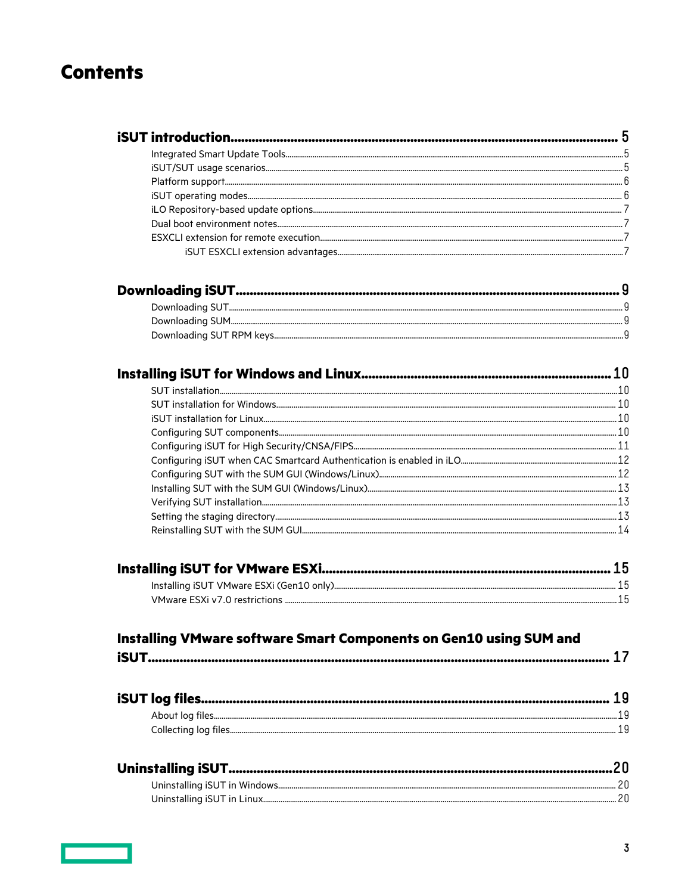# **Contents**

#### Installing VMware software Smart Components on Gen10 using SUM and  $17$  $\mathbf{L}$  and  $\mathbf{L}$

|--|--|

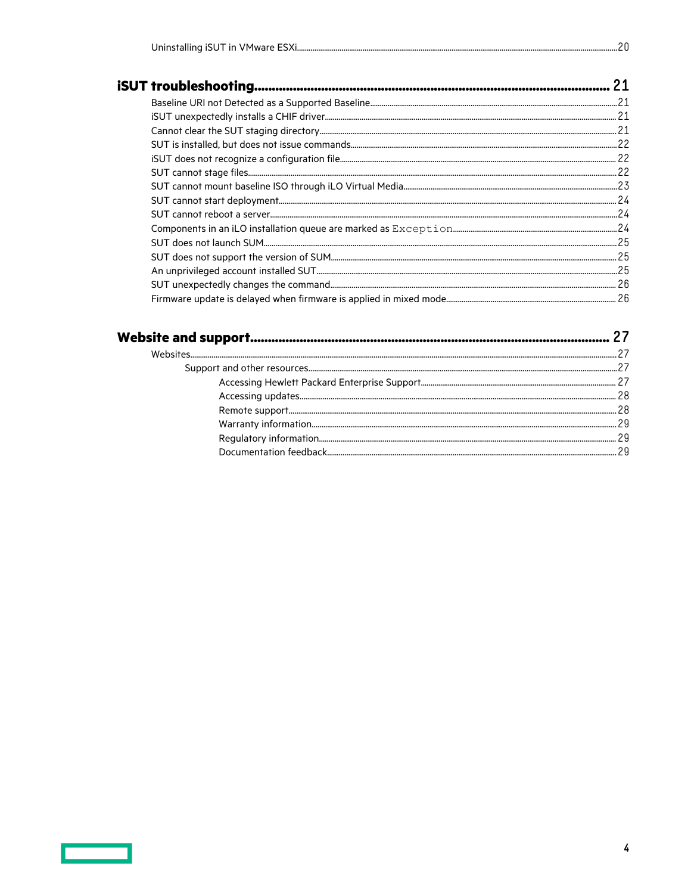|--|--|--|--|

 $\overline{\mathbf{4}}$ 

 $...20$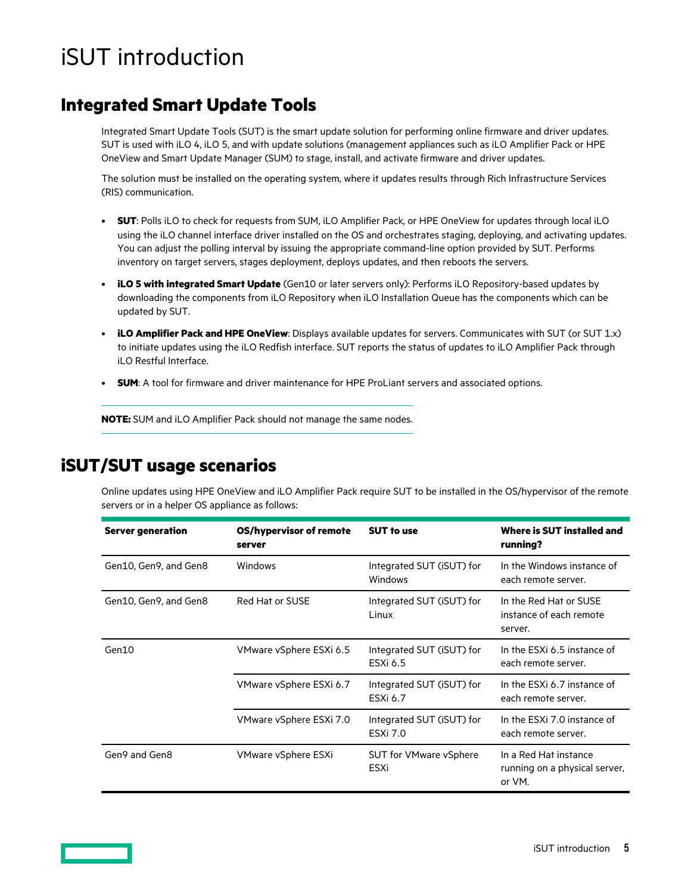# <span id="page-4-0"></span>iSUT introduction

## **Integrated Smart Update Tools**

Integrated Smart Update Tools (SUT) is the smart update solution for performing online firmware and driver updates. SUT is used with iLO 4, iLO 5, and with update solutions (management appliances such as iLO Amplifier Pack or HPE OneView and Smart Update Manager (SUM) to stage, install, and activate firmware and driver updates.

The solution must be installed on the operating system, where it updates results through Rich Infrastructure Services (RIS) communication.

- **SUT**: Polls iLO to check for requests from SUM, iLO Amplifier Pack, or HPE OneView for updates through local iLO using the iLO channel interface driver installed on the OS and orchestrates staging, deploying, and activating updates. You can adjust the polling interval by issuing the appropriate command-line option provided by SUT. Performs inventory on target servers, stages deployment, deploys updates, and then reboots the servers.
- **iLO 5 with integrated Smart Update** (Gen10 or later servers only): Performs iLO Repository-based updates by downloading the components from iLO Repository when iLO Installation Queue has the components which can be updated by SUT.
- **iLO Amplifier Pack and HPE OneView**: Displays available updates for servers. Communicates with SUT (or SUT 1.x) to initiate updates using the iLO Redfish interface. SUT reports the status of updates to iLO Amplifier Pack through iLO Restful Interface.
- **SUM**: A tool for firmware and driver maintenance for HPE ProLiant servers and associated options.

**NOTE:** SUM and iLO Amplifier Pack should not manage the same nodes.

### **iSUT/SUT usage scenarios**

Online updates using HPE OneView and iLO Amplifier Pack require SUT to be installed in the OS/hypervisor of the remote servers or in a helper OS appliance as follows:

| <b>Server generation</b> | OS/hypervisor of remote<br>server | <b>SUT to use</b>                            | Where is SUT installed and<br>running?                           |
|--------------------------|-----------------------------------|----------------------------------------------|------------------------------------------------------------------|
| Gen10, Gen9, and Gen8    | Windows                           | Integrated SUT (iSUT) for<br>Windows         | In the Windows instance of<br>each remote server.                |
| Gen10, Gen9, and Gen8    | Red Hat or SUSE                   | Integrated SUT (iSUT) for<br>Linux           | In the Red Hat or SUSE<br>instance of each remote<br>server.     |
| Gen10                    | VMware vSphere ESXi 6.5           | Integrated SUT (iSUT) for<br>ESXi 6.5        | In the ESXi 6.5 instance of<br>each remote server.               |
|                          | VMware vSphere ESXi 6.7           | Integrated SUT (iSUT) for<br>ESXi 6.7        | In the ESXi 6.7 instance of<br>each remote server.               |
|                          | VMware vSphere ESXi 7.0           | Integrated SUT (iSUT) for<br><b>ESXi 7.0</b> | In the ESXi 7.0 instance of<br>each remote server.               |
| Gen9 and Gen8            | VMware vSphere ESXi               | <b>SUT for VMware vSphere</b><br>ESXi        | In a Red Hat instance<br>running on a physical server,<br>or VM. |

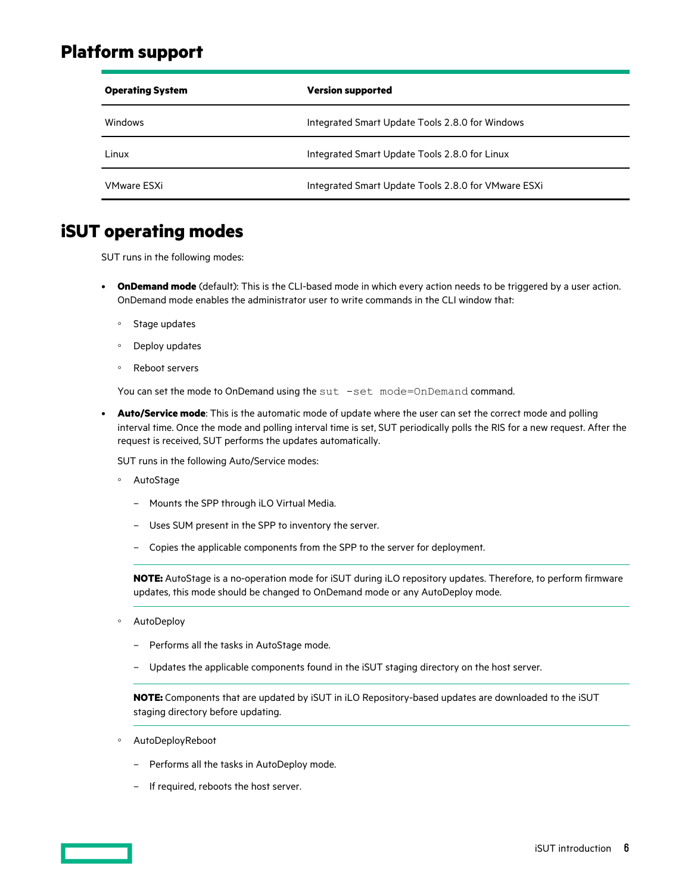### <span id="page-5-0"></span>**Platform support**

| <b>Version supported</b><br><b>Operating System</b> |                                                     |
|-----------------------------------------------------|-----------------------------------------------------|
| Windows                                             | Integrated Smart Update Tools 2.8.0 for Windows     |
| Linux                                               | Integrated Smart Update Tools 2.8.0 for Linux       |
| VMware FSXi                                         | Integrated Smart Update Tools 2.8.0 for VMware ESXi |

### **iSUT operating modes**

SUT runs in the following modes:

- **OnDemand mode** (default): This is the CLI-based mode in which every action needs to be triggered by a user action. OnDemand mode enables the administrator user to write commands in the CLI window that:
	- Stage updates
	- Deploy updates
	- Reboot servers

You can set the mode to OnDemand using the sut -set mode=OnDemand command.

• **Auto/Service mode**: This is the automatic mode of update where the user can set the correct mode and polling interval time. Once the mode and polling interval time is set, SUT periodically polls the RIS for a new request. After the request is received, SUT performs the updates automatically.

SUT runs in the following Auto/Service modes:

- AutoStage
	- Mounts the SPP through iLO Virtual Media.
	- Uses SUM present in the SPP to inventory the server.
	- Copies the applicable components from the SPP to the server for deployment.

**NOTE:** AutoStage is a no-operation mode for iSUT during iLO repository updates. Therefore, to perform firmware updates, this mode should be changed to OnDemand mode or any AutoDeploy mode.

- AutoDeploy
	- Performs all the tasks in AutoStage mode.
	- Updates the applicable components found in the iSUT staging directory on the host server.

**NOTE:** Components that are updated by iSUT in iLO Repository-based updates are downloaded to the iSUT staging directory before updating.

- AutoDeployReboot
	- Performs all the tasks in AutoDeploy mode.
	- If required, reboots the host server.

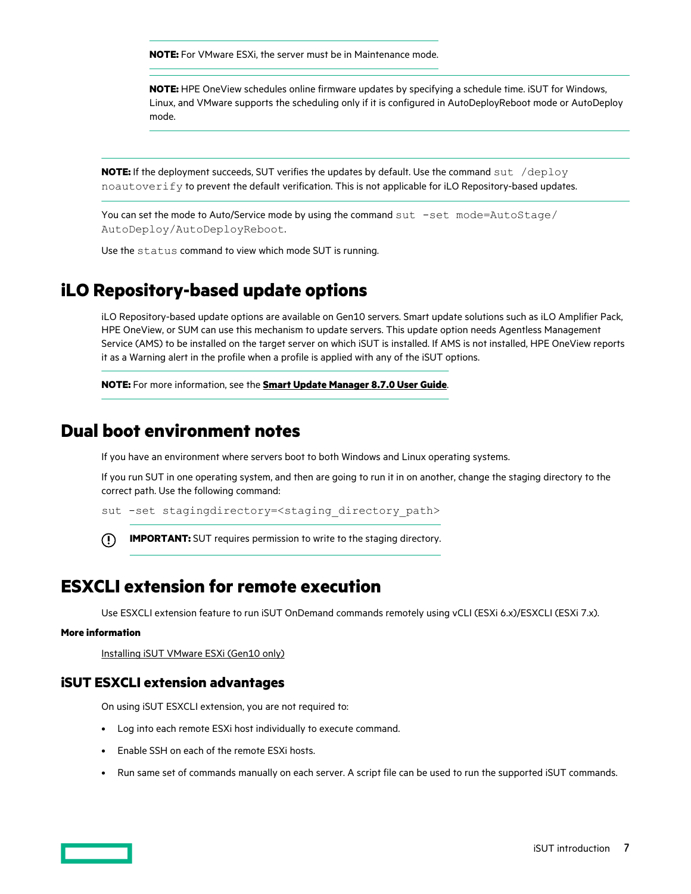<span id="page-6-0"></span>**NOTE:** For VMware ESXi, the server must be in Maintenance mode.

**NOTE:** HPE OneView schedules online firmware updates by specifying a schedule time. iSUT for Windows, Linux, and VMware supports the scheduling only if it is configured in AutoDeployReboot mode or AutoDeploy mode.

**NOTE:** If the deployment succeeds, SUT verifies the updates by default. Use the command sut /deploy noautoverify to prevent the default verification. This is not applicable for iLO Repository-based updates.

You can set the mode to Auto/Service mode by using the command sut -set mode=AutoStage/ AutoDeploy/AutoDeployReboot.

Use the status command to view which mode SUT is running.

### **iLO Repository-based update options**

iLO Repository-based update options are available on Gen10 servers. Smart update solutions such as iLO Amplifier Pack, HPE OneView, or SUM can use this mechanism to update servers. This update option needs Agentless Management Service (AMS) to be installed on the target server on which iSUT is installed. If AMS is not installed, HPE OneView reports it as a Warning alert in the profile when a profile is applied with any of the iSUT options.

**NOTE:** For more information, see the **[Smart Update Manager 8.7.0 User Guide](http://www.hpe.com/support/SUM-UG-en)**.

### **Dual boot environment notes**

If you have an environment where servers boot to both Windows and Linux operating systems.

If you run SUT in one operating system, and then are going to run it in on another, change the staging directory to the correct path. Use the following command:

sut -set stagingdirectory=<staging directory path>

**IMPORTANT:** SUT requires permission to write to the staging directory.  $\left( \Gamma\right)$ 

### **ESXCLI extension for remote execution**

Use ESXCLI extension feature to run iSUT OnDemand commands remotely using vCLI (ESXi 6.x)/ESXCLI (ESXi 7.x).

#### **More information**

[Installing iSUT VMware ESXi \(Gen10 only\)](#page-14-0)

#### **iSUT ESXCLI extension advantages**

On using iSUT ESXCLI extension, you are not required to:

- Log into each remote ESXi host individually to execute command.
- Enable SSH on each of the remote ESXi hosts.
- Run same set of commands manually on each server. A script file can be used to run the supported iSUT commands.

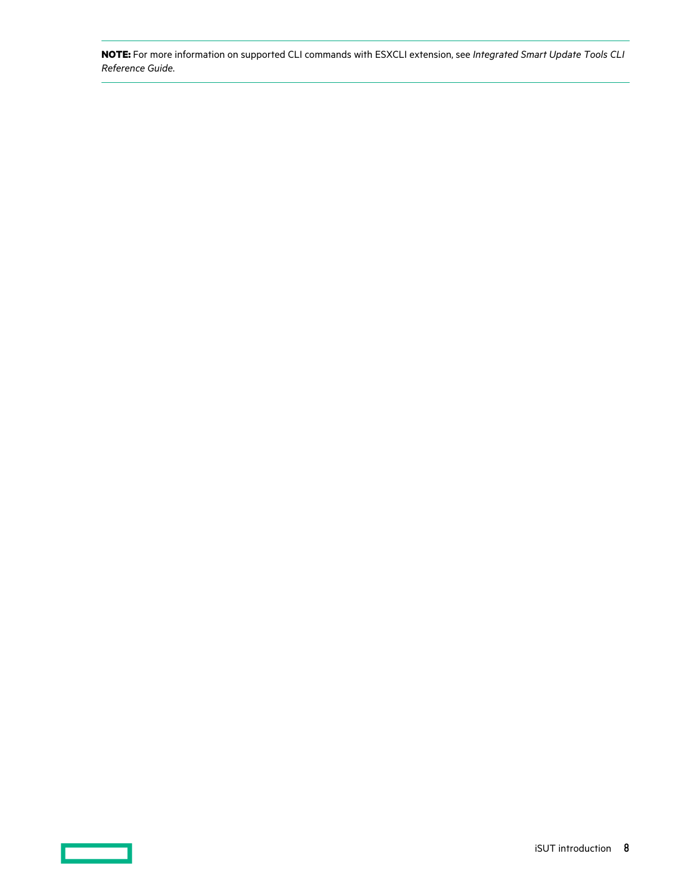**NOTE:** For more information on supported CLI commands with ESXCLI extension, see *Integrated Smart Update Tools CLI Reference Guide*.

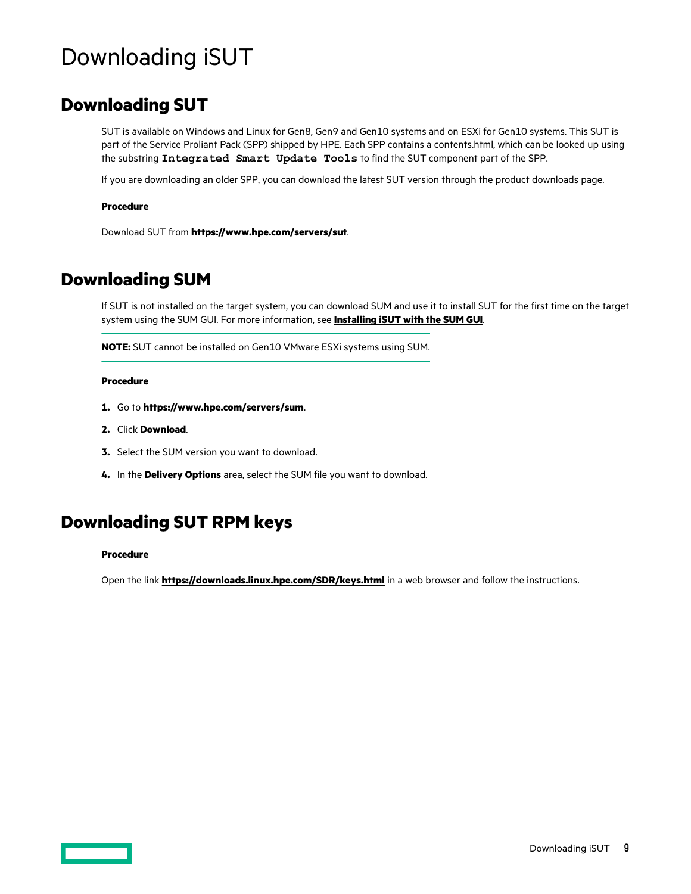# <span id="page-8-0"></span>Downloading iSUT

## **Downloading SUT**

SUT is available on Windows and Linux for Gen8, Gen9 and Gen10 systems and on ESXi for Gen10 systems. This SUT is part of the Service Proliant Pack (SPP) shipped by HPE. Each SPP contains a contents.html, which can be looked up using the substring **Integrated Smart Update Tools** to find the SUT component part of the SPP.

If you are downloading an older SPP, you can download the latest SUT version through the product downloads page.

#### **Procedure**

Download SUT from **<https://www.hpe.com/servers/sut>**.

### **Downloading SUM**

If SUT is not installed on the target system, you can download SUM and use it to install SUT for the first time on the target system using the SUM GUI. For more information, see **[Installing iSUT with the SUM GUI](#page-12-0)**.

**NOTE:** SUT cannot be installed on Gen10 VMware ESXi systems using SUM.

#### **Procedure**

- **1.** Go to **<https://www.hpe.com/servers/sum>**.
- **2.** Click **Download**.
- **3.** Select the SUM version you want to download.
- **4.** In the **Delivery Options** area, select the SUM file you want to download.

### **Downloading SUT RPM keys**

#### **Procedure**

Open the link **<https://downloads.linux.hpe.com/SDR/keys.html>** in a web browser and follow the instructions.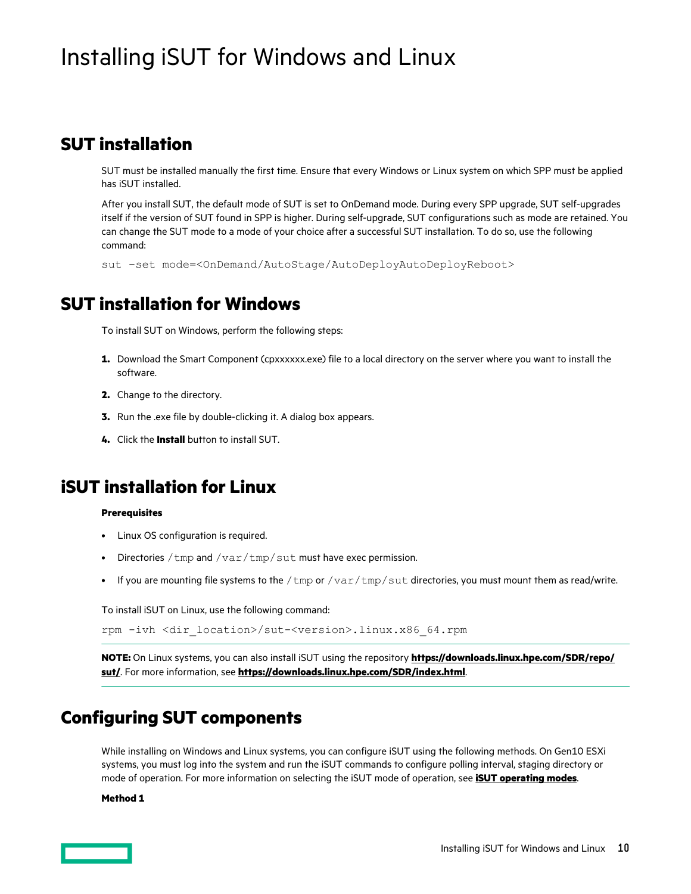# <span id="page-9-0"></span>Installing iSUT for Windows and Linux

### **SUT installation**

SUT must be installed manually the first time. Ensure that every Windows or Linux system on which SPP must be applied has iSUT installed.

After you install SUT, the default mode of SUT is set to OnDemand mode. During every SPP upgrade, SUT self-upgrades itself if the version of SUT found in SPP is higher. During self-upgrade, SUT configurations such as mode are retained. You can change the SUT mode to a mode of your choice after a successful SUT installation. To do so, use the following command:

```
sut –set mode=<OnDemand/AutoStage/AutoDeployAutoDeployReboot>
```
### **SUT installation for Windows**

To install SUT on Windows, perform the following steps:

- 1. Download the Smart Component (cpxxxxxx.exe) file to a local directory on the server where you want to install the software.
- **2.** Change to the directory.
- **3.** Run the .exe file by double-clicking it. A dialog box appears.
- **4.** Click the **Install** button to install SUT.

### **iSUT installation for Linux**

#### **Prerequisites**

- Linux OS configuration is required.
- Directories /  $tmp$  and /  $var /tmp$  /  $cut$  must have exec permission.
- If you are mounting file systems to the /tmp or /var/tmp/sut directories, you must mount them as read/write.

To install iSUT on Linux, use the following command:

```
rpm -ivh <dir_location>/sut-<version>.linux.x86_64.rpm
```
**NOTE:** On Linux systems, you can also install iSUT using the repository **[https://downloads.linux.hpe.com/SDR/repo/](https://downloads.linux.hpe.com/SDR/repo/sut/) [sut/](https://downloads.linux.hpe.com/SDR/repo/sut/)**. For more information, see **<https://downloads.linux.hpe.com/SDR/index.html>**.

### **Configuring SUT components**

While installing on Windows and Linux systems, you can configure iSUT using the following methods. On Gen10 ESXi systems, you must log into the system and run the iSUT commands to configure polling interval, staging directory or mode of operation. For more information on selecting the iSUT mode of operation, see **[iSUT operating modes](#page-5-0)**.

#### **Method 1**

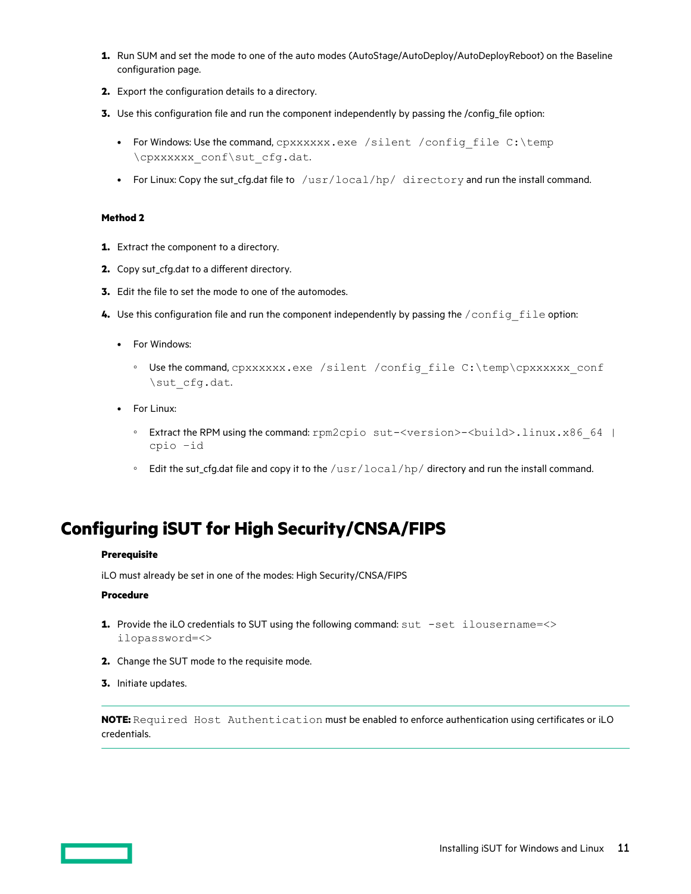- <span id="page-10-0"></span>**1.** Run SUM and set the mode to one of the auto modes (AutoStage/AutoDeploy/AutoDeployReboot) on the Baseline configuration page.
- **2.** Export the configuration details to a directory.
- **3.** Use this configuration file and run the component independently by passing the /config file option:
	- For Windows: Use the command, cpxxxxxx.exe /silent /config\_file C:\temp \cpxxxxxx\_conf\sut\_cfg.dat.
	- For Linux: Copy the sut\_cfg.dat file to /usr/local/hp/ directory and run the install command.

#### **Method 2**

- **1.** Extract the component to a directory.
- **2.** Copy sut\_cfg.dat to a different directory.
- **3.** Edit the file to set the mode to one of the automodes.
- **4.** Use this configuration file and run the component independently by passing the /config\_file option:
	- For Windows:
		- Use the command, cpxxxxxx.exe /silent /config\_file C:\temp\cpxxxxxx\_conf \sut\_cfg.dat.
	- For Linux:
		- Extract the RPM using the command: rpm2cpio sut-<version>-<build>.linux.x86\_64 | cpio –id
		- Edit the sut\_cfg.dat file and copy it to the /usr/local/hp/ directory and run the install command.

### **Configuring iSUT for High Security/CNSA/FIPS**

#### **Prerequisite**

iLO must already be set in one of the modes: High Security/CNSA/FIPS

#### **Procedure**

- **1.** Provide the iLO credentials to SUT using the following command: sut -set ilousername=<> ilopassword=<>
- **2.** Change the SUT mode to the requisite mode.
- **3.** Initiate updates.

**NOTE:** Required Host Authentication must be enabled to enforce authentication using certificates or iLO credentials.

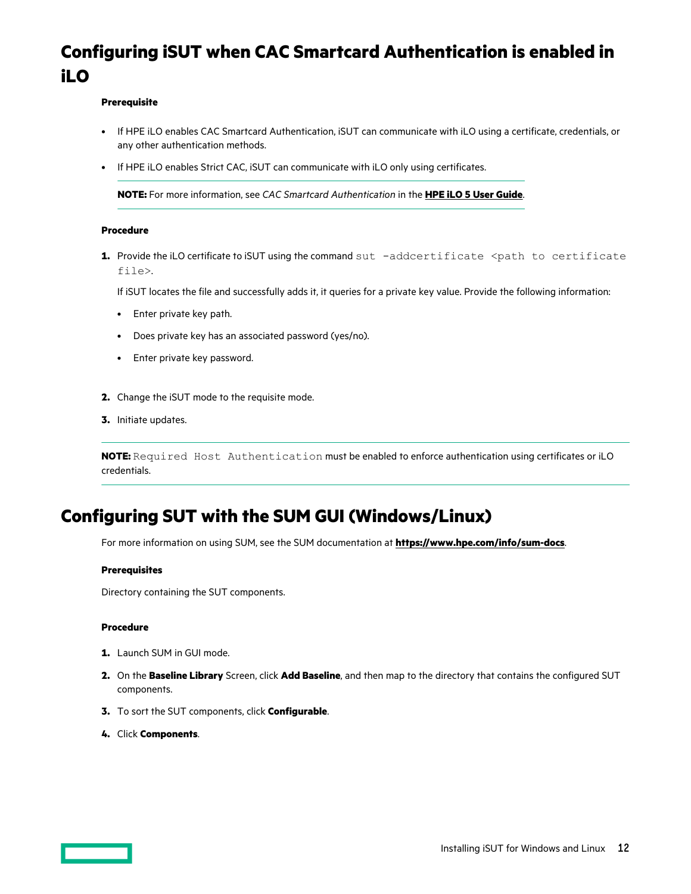# <span id="page-11-0"></span>**Configuring iSUT when CAC Smartcard Authentication is enabled in iLO**

#### **Prerequisite**

- If HPE iLO enables CAC Smartcard Authentication, iSUT can communicate with iLO using a certificate, credentials, or any other authentication methods.
- If HPE iLO enables Strict CAC, iSUT can communicate with iLO only using certificates.

**NOTE:** For more information, see *CAC Smartcard Authentication* in the **[HPE iLO 5 User Guide](https://techlibrary.hpe.com/us/en/enterprise/servers/solutions/info-library/index.aspx?cat=ilo5&lang=1#.XdZGWugzbIU)**.

#### **Procedure**

**1.** Provide the iLO certificate to iSUT using the command sut -addcertificate <path to certificate file>.

If iSUT locates the file and successfully adds it, it queries for a private key value. Provide the following information:

- Enter private key path.
- Does private key has an associated password (yes/no).
- Enter private key password.
- **2.** Change the iSUT mode to the requisite mode.
- **3.** Initiate updates.

**NOTE:** Required Host Authentication must be enabled to enforce authentication using certificates or iLO credentials.

## **Configuring SUT with the SUM GUI (Windows/Linux)**

For more information on using SUM, see the SUM documentation at **<https://www.hpe.com/info/sum-docs>**.

#### **Prerequisites**

Directory containing the SUT components.

#### **Procedure**

- **1.** Launch SUM in GUI mode.
- **2.** On the **Baseline Library** Screen, click **Add Baseline**, and then map to the directory that contains the configured SUT components.
- **3.** To sort the SUT components, click **Configurable**.
- **4.** Click **Components**.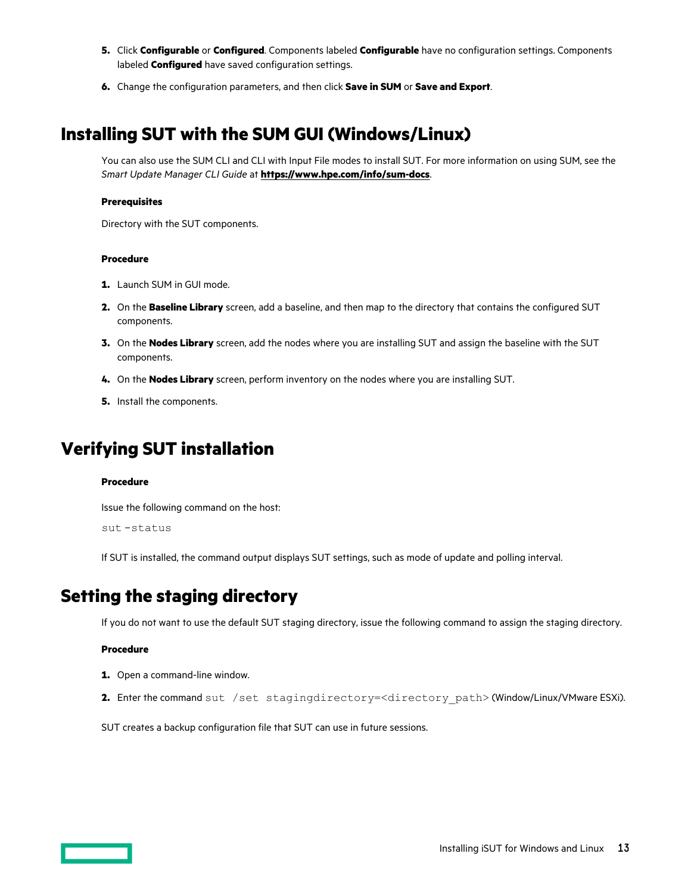- <span id="page-12-0"></span>**5.** Click **Configurable** or **Configured**. Components labeled **Configurable** have no configuration settings. Components labeled **Configured** have saved configuration settings.
- **6.** Change the configuration parameters, and then click **Save in SUM** or **Save and Export**.

## **Installing SUT with the SUM GUI (Windows/Linux)**

You can also use the SUM CLI and CLI with Input File modes to install SUT. For more information on using SUM, see the *Smart Update Manager CLI Guide* at **<https://www.hpe.com/info/sum-docs>**.

#### **Prerequisites**

Directory with the SUT components.

#### **Procedure**

- **1.** Launch SUM in GUI mode.
- **2.** On the **Baseline Library** screen, add a baseline, and then map to the directory that contains the configured SUT components.
- **3.** On the **Nodes Library** screen, add the nodes where you are installing SUT and assign the baseline with the SUT components.
- **4.** On the **Nodes Library** screen, perform inventory on the nodes where you are installing SUT.
- **5.** Install the components.

### **Verifying SUT installation**

#### **Procedure**

Issue the following command on the host:

```
sut -status
```
If SUT is installed, the command output displays SUT settings, such as mode of update and polling interval.

### **Setting the staging directory**

If you do not want to use the default SUT staging directory, issue the following command to assign the staging directory.

#### **Procedure**

- **1.** Open a command-line window.
- **2.** Enter the command sut /set stagingdirectory=<directory path> (Window/Linux/VMware ESXi).

SUT creates a backup configuration file that SUT can use in future sessions.

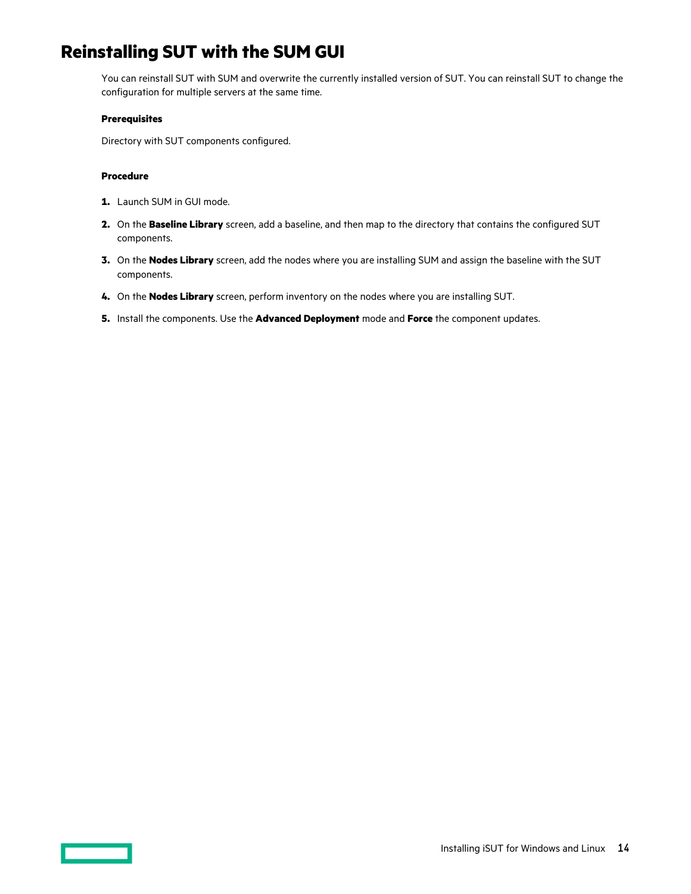# <span id="page-13-0"></span>**Reinstalling SUT with the SUM GUI**

You can reinstall SUT with SUM and overwrite the currently installed version of SUT. You can reinstall SUT to change the configuration for multiple servers at the same time.

#### **Prerequisites**

Directory with SUT components configured.

#### **Procedure**

- **1.** Launch SUM in GUI mode.
- **2.** On the **Baseline Library** screen, add a baseline, and then map to the directory that contains the configured SUT components.
- **3.** On the **Nodes Library** screen, add the nodes where you are installing SUM and assign the baseline with the SUT components.
- **4.** On the **Nodes Library** screen, perform inventory on the nodes where you are installing SUT.
- **5.** Install the components. Use the **Advanced Deployment** mode and **Force** the component updates.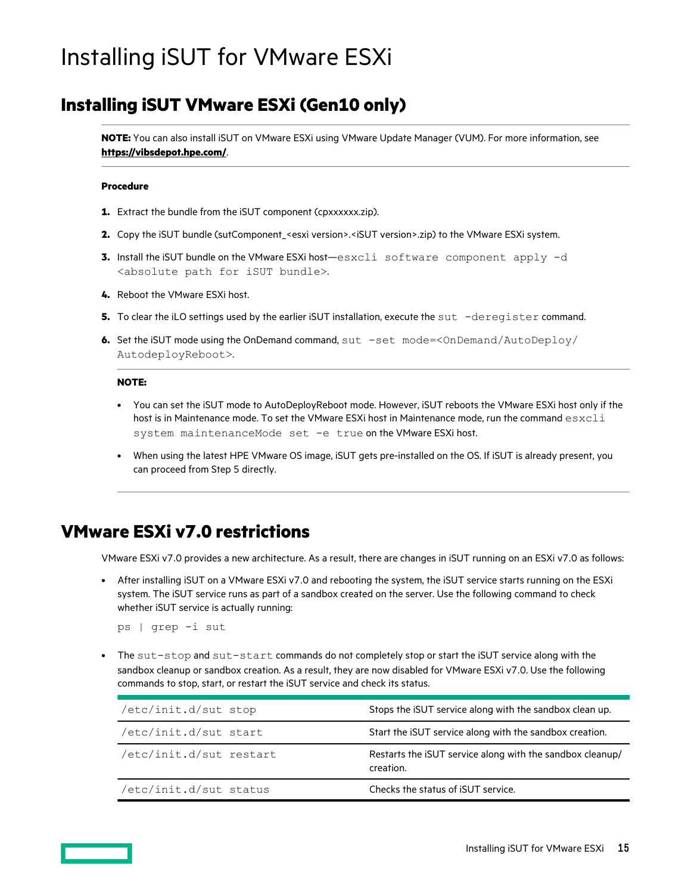# <span id="page-14-0"></span>Installing iSUT for VMware ESXi

### **Installing iSUT VMware ESXi (Gen10 only)**

**NOTE:** You can also install iSUT on VMware ESXi using VMware Update Manager (VUM). For more information, see **<https://vibsdepot.hpe.com/>**.

#### **Procedure**

- **1.** Extract the bundle from the iSUT component (cpxxxxxx.zip).
- **2.** Copy the iSUT bundle (sutComponent\_<esxi version>.<iSUT version>.zip) to the VMware ESXi system.
- **3.** Install the iSUT bundle on the VMware ESXi host—esxcli software component apply -d <absolute path for iSUT bundle>.
- **4.** Reboot the VMware ESXi host.
- **5.** To clear the iLO settings used by the earlier iSUT installation, execute the sut -deregister command.
- **6.** Set the iSUT mode using the OnDemand command,  $\text{sut -set mode} = \text{Conemand/AutoDeploy/}$ AutodeployReboot>.

#### **NOTE:**

- You can set the iSUT mode to AutoDeployReboot mode. However, iSUT reboots the VMware ESXi host only if the host is in Maintenance mode. To set the VMware ESXi host in Maintenance mode, run the command  $\text{excli}$ system maintenanceMode set -e true on the VMware ESXi host.
- When using the latest HPE VMware OS image, iSUT gets pre-installed on the OS. If iSUT is already present, you can proceed from Step 5 directly.

### **VMware ESXi v7.0 restrictions**

VMware ESXi v7.0 provides a new architecture. As a result, there are changes in iSUT running on an ESXi v7.0 as follows:

• After installing iSUT on a VMware ESXi v7.0 and rebooting the system, the iSUT service starts running on the ESXi system. The iSUT service runs as part of a sandbox created on the server. Use the following command to check whether iSUT service is actually running:

ps | grep -i sut

The sut-stop and sut-start commands do not completely stop or start the iSUT service along with the sandbox cleanup or sandbox creation. As a result, they are now disabled for VMware ESXi v7.0. Use the following commands to stop, start, or restart the iSUT service and check its status.

| /etc/init.d/sut stop    | Stops the iSUT service along with the sandbox clean up.                |
|-------------------------|------------------------------------------------------------------------|
| /etc/init.d/sut start   | Start the iSUT service along with the sandbox creation.                |
| /etc/init.d/sut restart | Restarts the iSUT service along with the sandbox cleanup/<br>creation. |
| /etc/init.d/sut status  | Checks the status of ISUT service.                                     |

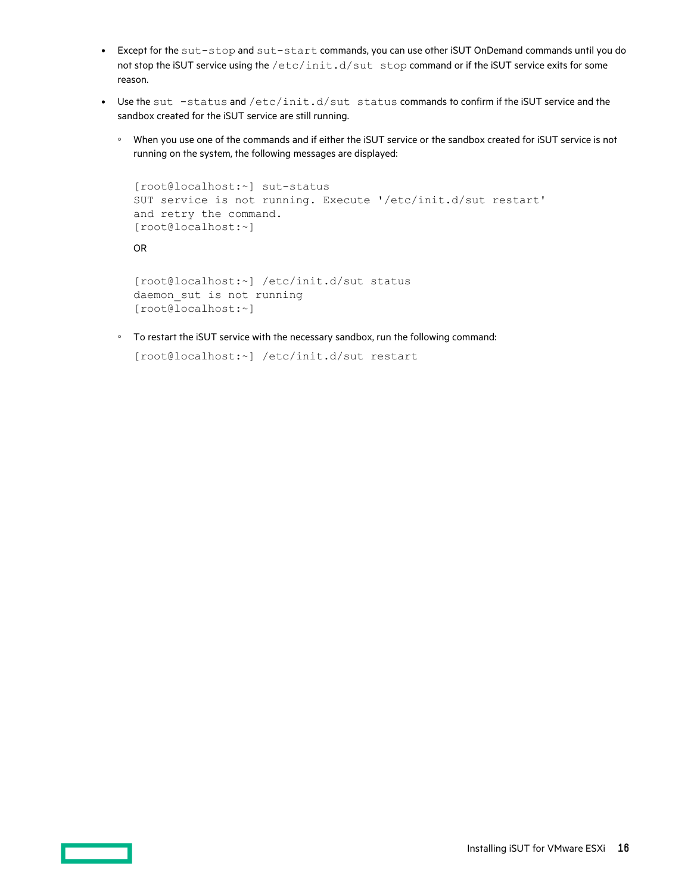- Except for the sut-stop and sut-start commands, you can use other iSUT OnDemand commands until you do not stop the iSUT service using the /etc/init.d/sut stop command or if the iSUT service exits for some reason.
- Use the sut  $-status$  and  $/etc/init.d/sut$  status commands to confirm if the iSUT service and the sandbox created for the iSUT service are still running.
	- When you use one of the commands and if either the iSUT service or the sandbox created for iSUT service is not running on the system, the following messages are displayed:

```
[root@localhost:~] sut-status
SUT service is not running. Execute '/etc/init.d/sut restart' 
and retry the command.
[root@localhost:~]
OR
[root@localhost:~] /etc/init.d/sut status
daemon_sut is not running
[root@localhost:~]
```
◦ To restart the iSUT service with the necessary sandbox, run the following command:

```
[root@localhost:~] /etc/init.d/sut restart
```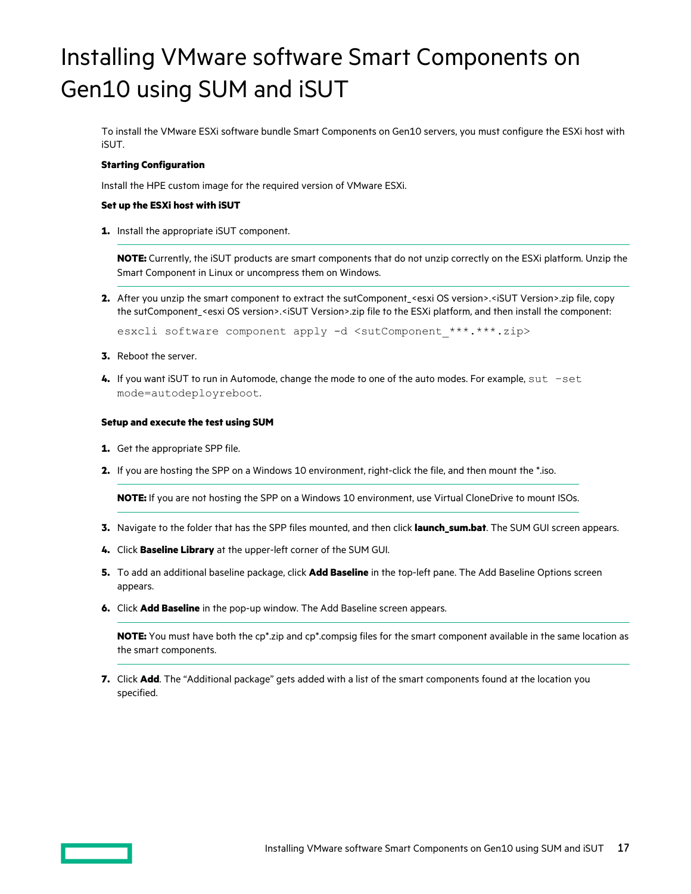# <span id="page-16-0"></span>Installing VMware software Smart Components on Gen10 using SUM and iSUT

To install the VMware ESXi software bundle Smart Components on Gen10 servers, you must configure the ESXi host with iSUT.

#### **Starting Configuration**

Install the HPE custom image for the required version of VMware ESXi.

#### **Set up the ESXi host with iSUT**

**1.** Install the appropriate iSUT component.

**NOTE:** Currently, the iSUT products are smart components that do not unzip correctly on the ESXi platform. Unzip the Smart Component in Linux or uncompress them on Windows.

**2.** After you unzip the smart component to extract the sutComponent\_<esxi OS version>.<iSUT Version>.zip file, copy the sutComponent\_<esxi OS version>.<iSUT Version>.zip file to the ESXi platform, and then install the component:

esxcli software component apply -d <sutComponent \*\*\*.\*\*\*.zip>

- **3.** Reboot the server.
- **4.** If you want iSUT to run in Automode, change the mode to one of the auto modes. For example, sut –set mode=autodeployreboot.

#### **Setup and execute the test using SUM**

- **1.** Get the appropriate SPP file.
- **2.** If you are hosting the SPP on a Windows 10 environment, right-click the file, and then mount the \*.iso.

**NOTE:** If you are not hosting the SPP on a Windows 10 environment, use Virtual CloneDrive to mount ISOs.

- **3.** Navigate to the folder that has the SPP files mounted, and then click **launch\_sum.bat**. The SUM GUI screen appears.
- **4.** Click **Baseline Library** at the upper-left corner of the SUM GUI.
- **5.** To add an additional baseline package, click **Add Baseline** in the top-left pane. The Add Baseline Options screen appears.
- **6.** Click **Add Baseline** in the pop-up window. The Add Baseline screen appears.

**NOTE:** You must have both the cp\*.zip and cp\*.compsig files for the smart component available in the same location as the smart components.

**7.** Click **Add**. The "Additional package" gets added with a list of the smart components found at the location you specified.

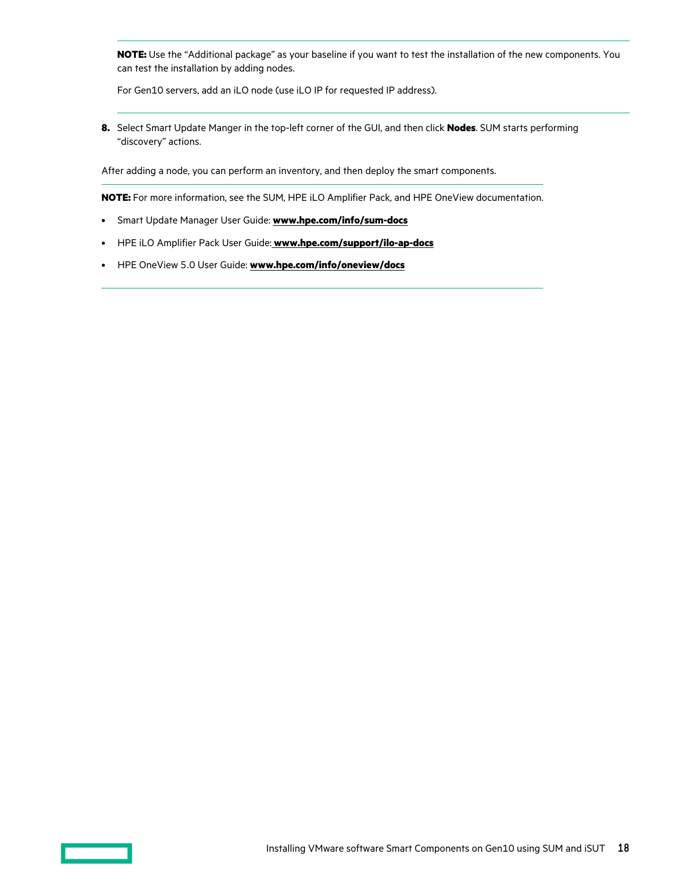**NOTE:** Use the "Additional package" as your baseline if you want to test the installation of the new components. You can test the installation by adding nodes.

For Gen10 servers, add an iLO node (use iLO IP for requested IP address).

**8.** Select Smart Update Manger in the top-left corner of the GUI, and then click **Nodes**. SUM starts performing "discovery" actions.

After adding a node, you can perform an inventory, and then deploy the smart components.

**NOTE:** For more information, see the SUM, HPE iLO Amplifier Pack, and HPE OneView documentation.

- Smart Update Manager User Guide: **[www.hpe.com/info/sum-docs](https://www.hpe.com/info/sum-docs)**
- HPE iLO Amplifier Pack User Guide: **[www.hpe.com/support/ilo-ap-docs](https://www.hpe.com/support/ilo-ap-docs)**
- HPE OneView 5.0 User Guide: **[www.hpe.com/info/oneview/docs](https://www.hpe.com/info/oneview/docs)**

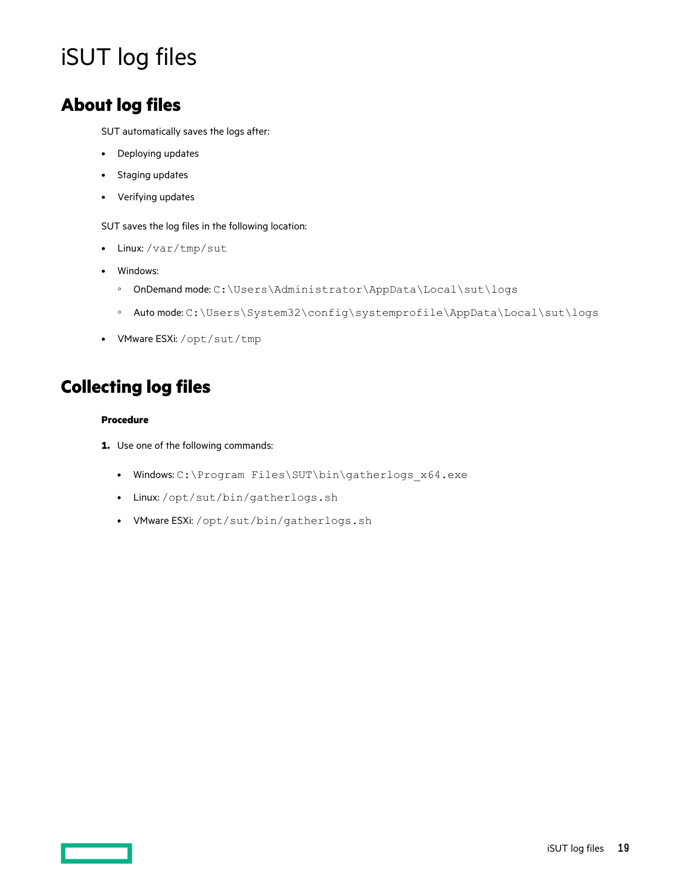# <span id="page-18-0"></span>iSUT log files

## **About log files**

SUT automatically saves the logs after:

- Deploying updates
- Staging updates
- Verifying updates

SUT saves the log files in the following location:

- Linux: /var/tmp/sut
- Windows:
	- OnDemand mode: C:\Users\Administrator\AppData\Local\sut\logs
	- Auto mode: C:\Users\System32\config\systemprofile\AppData\Local\sut\logs
- VMware ESXi: /opt/sut/tmp

# **Collecting log files**

#### **Procedure**

- **1.** Use one of the following commands:
	- Windows: C:\Program Files\SUT\bin\gatherlogs\_x64.exe
	- Linux: /opt/sut/bin/gatherlogs.sh
	- VMware ESXi: /opt/sut/bin/gatherlogs.sh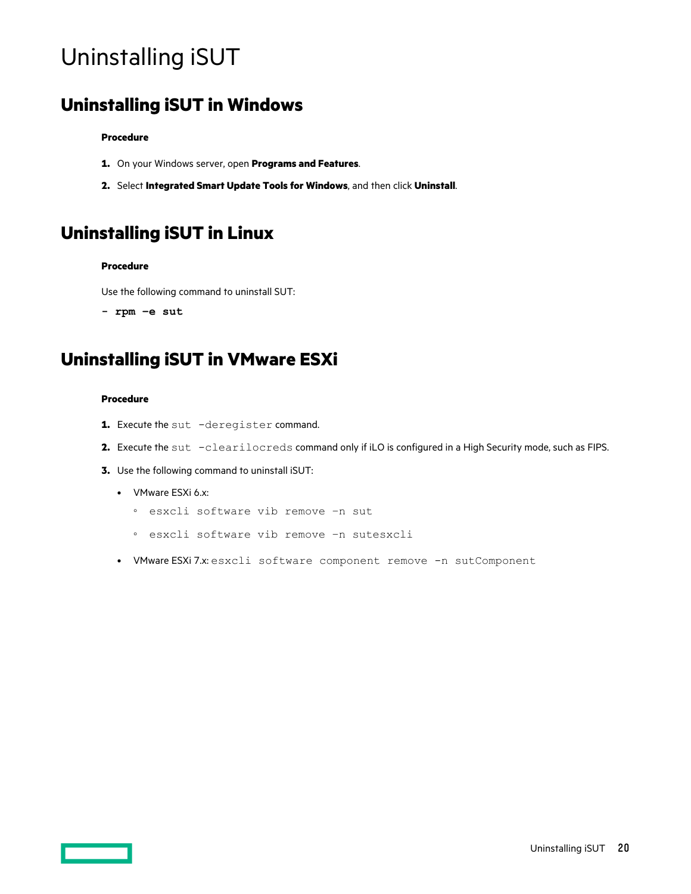# <span id="page-19-0"></span>Uninstalling iSUT

## **Uninstalling iSUT in Windows**

#### **Procedure**

- **1.** On your Windows server, open **Programs and Features**.
- **2.** Select **Integrated Smart Update Tools for Windows**, and then click **Uninstall**.

# **Uninstalling iSUT in Linux**

#### **Procedure**

Use the following command to uninstall SUT:

**- rpm –e sut**

# **Uninstalling iSUT in VMware ESXi**

#### **Procedure**

- 1. Execute the sut -deregister command.
- **2.** Execute the sut -clearilocreds command only if iLO is configured in a High Security mode, such as FIPS.
- **3.** Use the following command to uninstall iSUT:
	- VMware ESXi 6.x:
		- esxcli software vib remove –n sut
		- esxcli software vib remove –n sutesxcli
	- VMware ESXi 7.x: esxcli software component remove -n sutComponent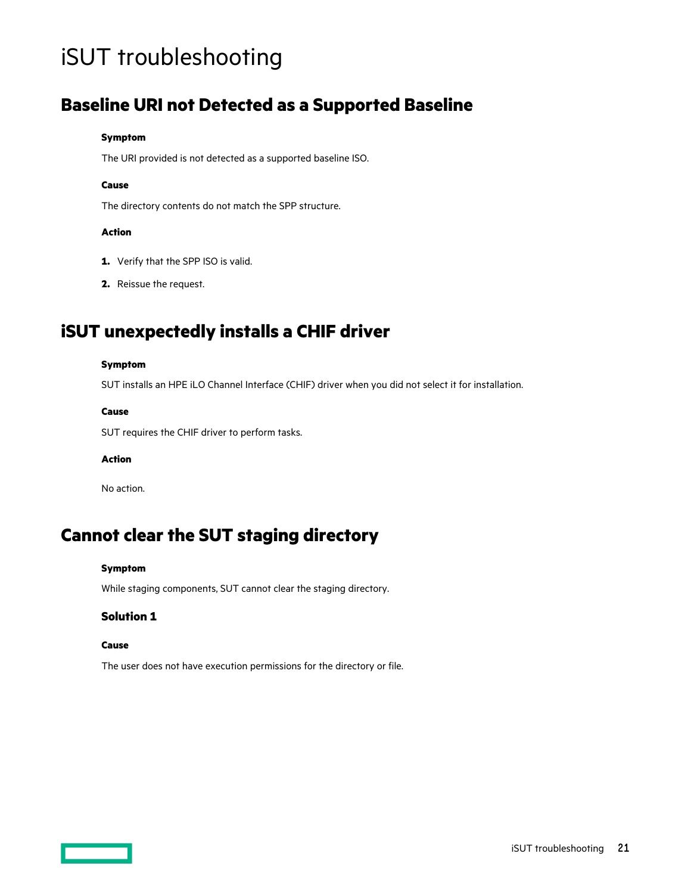# <span id="page-20-0"></span>iSUT troubleshooting

### **Baseline URI not Detected as a Supported Baseline**

#### **Symptom**

The URI provided is not detected as a supported baseline ISO.

#### **Cause**

The directory contents do not match the SPP structure.

#### **Action**

- **1.** Verify that the SPP ISO is valid.
- **2.** Reissue the request.

# **iSUT unexpectedly installs a CHIF driver**

#### **Symptom**

SUT installs an HPE iLO Channel Interface (CHIF) driver when you did not select it for installation.

#### **Cause**

SUT requires the CHIF driver to perform tasks.

#### **Action**

No action.

### **Cannot clear the SUT staging directory**

#### **Symptom**

While staging components, SUT cannot clear the staging directory.

#### **Solution 1**

#### **Cause**

The user does not have execution permissions for the directory or file.

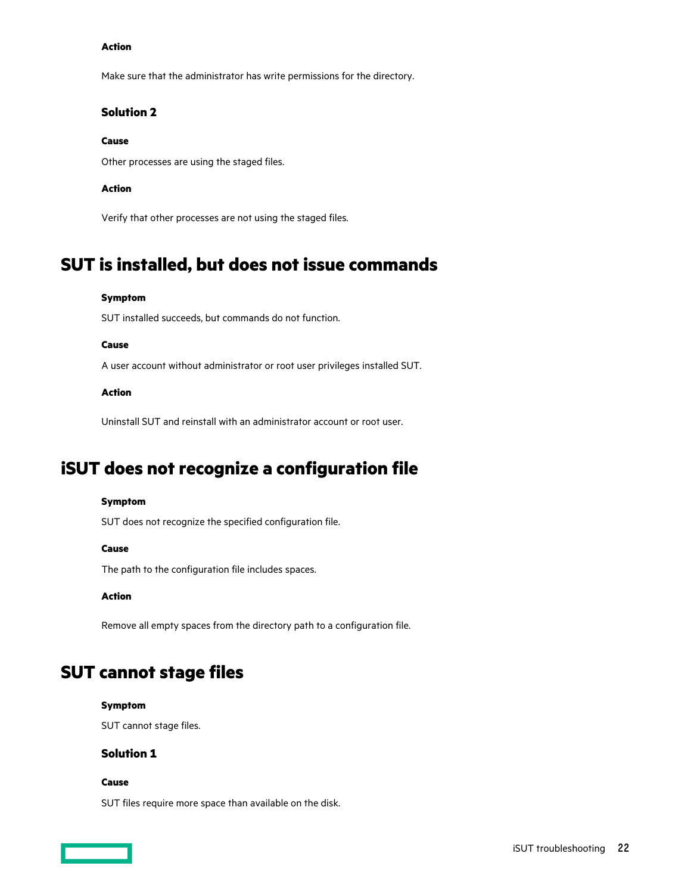#### <span id="page-21-0"></span>**Action**

Make sure that the administrator has write permissions for the directory.

#### **Solution 2**

#### **Cause**

Other processes are using the staged files.

#### **Action**

Verify that other processes are not using the staged files.

### **SUT is installed, but does not issue commands**

#### **Symptom**

SUT installed succeeds, but commands do not function.

#### **Cause**

A user account without administrator or root user privileges installed SUT.

#### **Action**

Uninstall SUT and reinstall with an administrator account or root user.

## **iSUT does not recognize a configuration file**

#### **Symptom**

SUT does not recognize the specified configuration file.

#### **Cause**

The path to the configuration file includes spaces.

#### **Action**

Remove all empty spaces from the directory path to a configuration file.

## **SUT cannot stage files**

#### **Symptom**

SUT cannot stage files.

#### **Solution 1**

#### **Cause**

SUT files require more space than available on the disk.

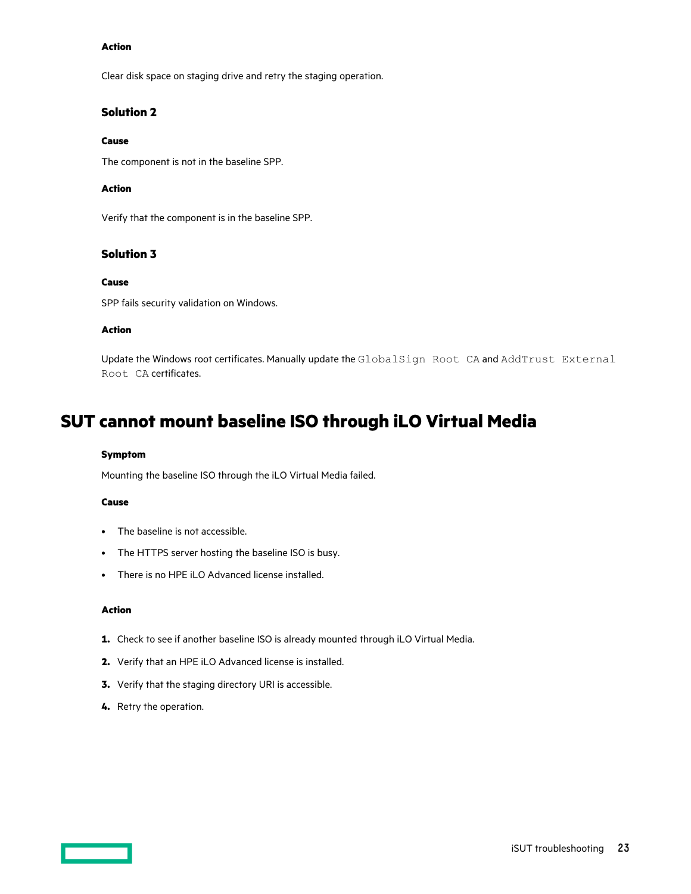#### <span id="page-22-0"></span>**Action**

Clear disk space on staging drive and retry the staging operation.

#### **Solution 2**

#### **Cause**

The component is not in the baseline SPP.

#### **Action**

Verify that the component is in the baseline SPP.

#### **Solution 3**

#### **Cause**

SPP fails security validation on Windows.

#### **Action**

Update the Windows root certificates. Manually update the GlobalSign Root CA and AddTrust External Root CA certificates.

### **SUT cannot mount baseline ISO through iLO Virtual Media**

#### **Symptom**

Mounting the baseline ISO through the iLO Virtual Media failed.

#### **Cause**

- The baseline is not accessible.
- The HTTPS server hosting the baseline ISO is busy.
- There is no HPE iLO Advanced license installed.

#### **Action**

- **1.** Check to see if another baseline ISO is already mounted through iLO Virtual Media.
- **2.** Verify that an HPE iLO Advanced license is installed.
- **3.** Verify that the staging directory URI is accessible.
- **4.** Retry the operation.

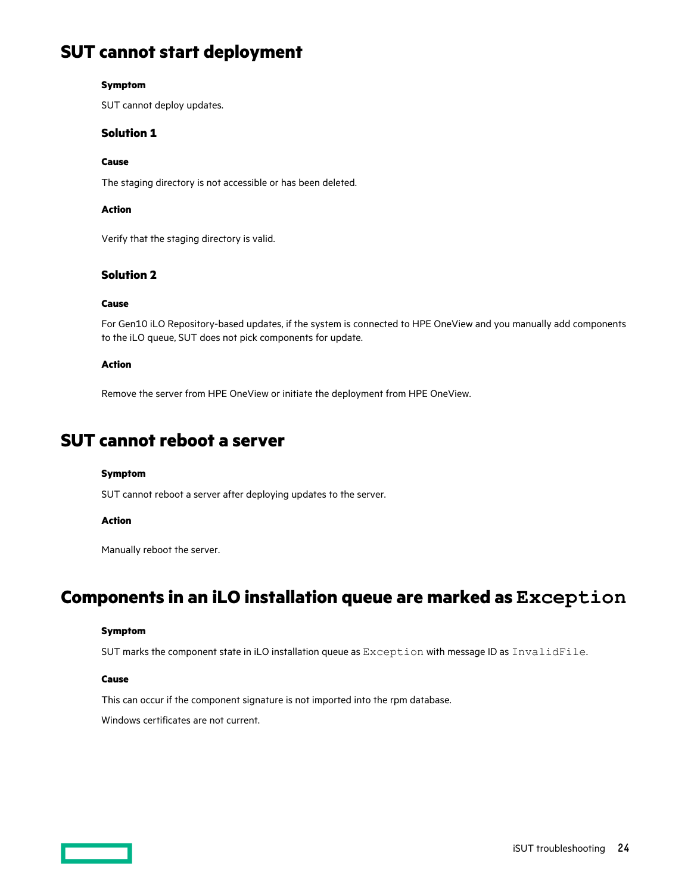## <span id="page-23-0"></span>**SUT cannot start deployment**

#### **Symptom**

SUT cannot deploy updates.

#### **Solution 1**

#### **Cause**

The staging directory is not accessible or has been deleted.

#### **Action**

Verify that the staging directory is valid.

#### **Solution 2**

#### **Cause**

For Gen10 iLO Repository-based updates, if the system is connected to HPE OneView and you manually add components to the iLO queue, SUT does not pick components for update.

#### **Action**

Remove the server from HPE OneView or initiate the deployment from HPE OneView.

### **SUT cannot reboot a server**

#### **Symptom**

SUT cannot reboot a server after deploying updates to the server.

#### **Action**

Manually reboot the server.

### **Components in an iLO installation queue are marked as Exception**

#### **Symptom**

SUT marks the component state in iLO installation queue as Exception with message ID as InvalidFile.

#### **Cause**

This can occur if the component signature is not imported into the rpm database.

Windows certificates are not current.

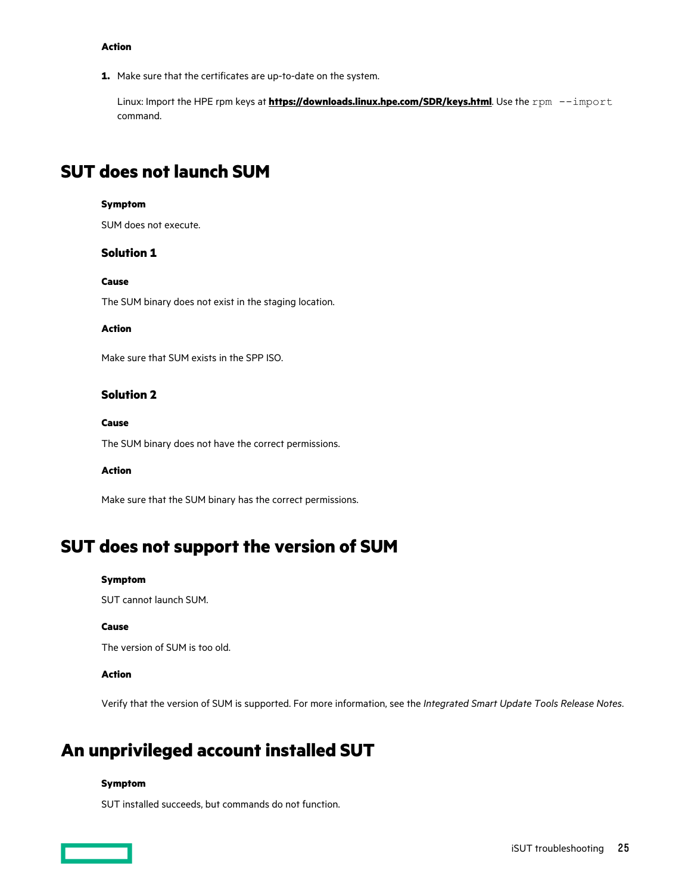#### <span id="page-24-0"></span>**Action**

**1.** Make sure that the certificates are up-to-date on the system.

Linux: Import the HPE rpm keys at **<https://downloads.linux.hpe.com/SDR/keys.html>**. Use the rpm --import command.

### **SUT does not launch SUM**

#### **Symptom**

SUM does not execute.

#### **Solution 1**

#### **Cause**

The SUM binary does not exist in the staging location.

#### **Action**

Make sure that SUM exists in the SPP ISO.

#### **Solution 2**

#### **Cause**

The SUM binary does not have the correct permissions.

#### **Action**

Make sure that the SUM binary has the correct permissions.

### **SUT does not support the version of SUM**

#### **Symptom**

SUT cannot launch SUM.

#### **Cause**

The version of SUM is too old.

#### **Action**

Verify that the version of SUM is supported. For more information, see the *Integrated Smart Update Tools Release Notes*.

### **An unprivileged account installed SUT**

#### **Symptom**

SUT installed succeeds, but commands do not function.

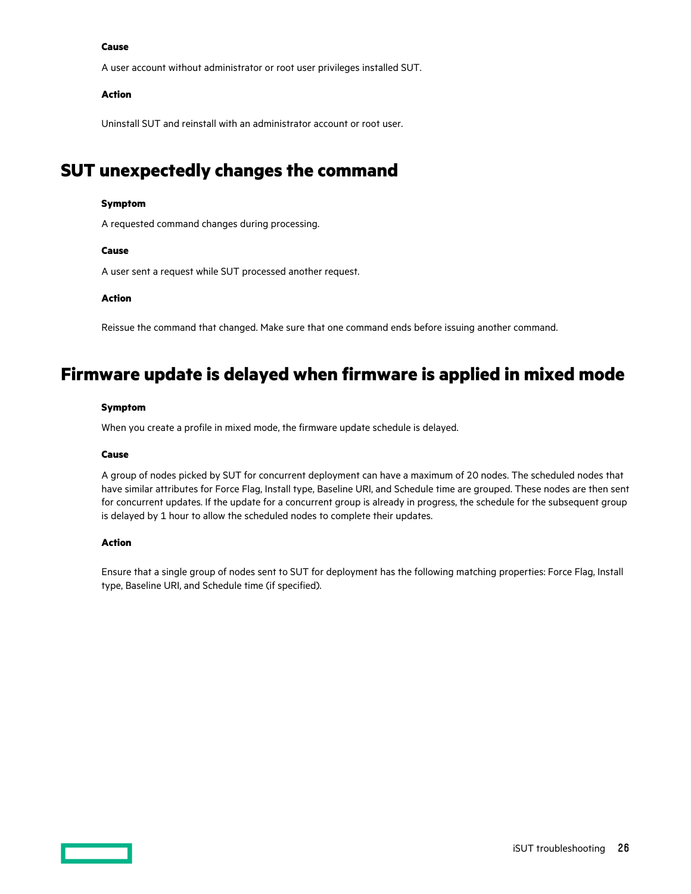#### <span id="page-25-0"></span>**Cause**

A user account without administrator or root user privileges installed SUT.

#### **Action**

Uninstall SUT and reinstall with an administrator account or root user.

## **SUT unexpectedly changes the command**

#### **Symptom**

A requested command changes during processing.

#### **Cause**

A user sent a request while SUT processed another request.

#### **Action**

Reissue the command that changed. Make sure that one command ends before issuing another command.

### **Firmware update is delayed when firmware is applied in mixed mode**

#### **Symptom**

When you create a profile in mixed mode, the firmware update schedule is delayed.

#### **Cause**

A group of nodes picked by SUT for concurrent deployment can have a maximum of 20 nodes. The scheduled nodes that have similar attributes for Force Flag, Install type, Baseline URI, and Schedule time are grouped. These nodes are then sent for concurrent updates. If the update for a concurrent group is already in progress, the schedule for the subsequent group is delayed by 1 hour to allow the scheduled nodes to complete their updates.

#### **Action**

Ensure that a single group of nodes sent to SUT for deployment has the following matching properties: Force Flag, Install type, Baseline URI, and Schedule time (if specified).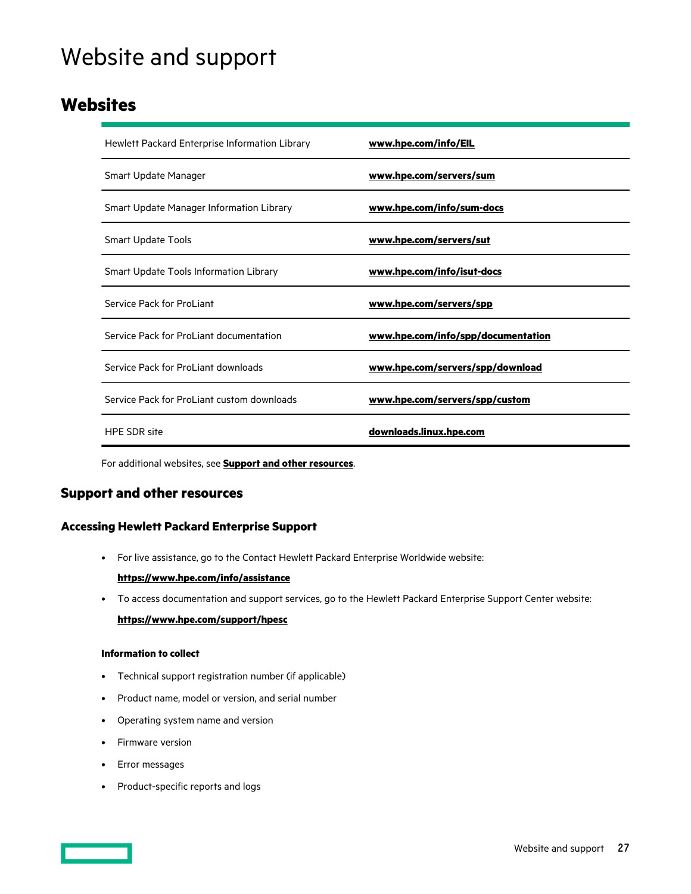# <span id="page-26-0"></span>Website and support

### **Websites**

| Hewlett Packard Enterprise Information Library | www.hpe.com/info/EIL               |
|------------------------------------------------|------------------------------------|
| Smart Update Manager                           | www.hpe.com/servers/sum            |
| Smart Update Manager Information Library       | www.hpe.com/info/sum-docs          |
| <b>Smart Update Tools</b>                      | www.hpe.com/servers/sut            |
| Smart Update Tools Information Library         | www.hpe.com/info/isut-docs         |
| Service Pack for ProLiant                      | www.hpe.com/servers/spp            |
| Service Pack for ProLiant documentation        | www.hpe.com/info/spp/documentation |
| Service Pack for ProLiant downloads            | www.hpe.com/servers/spp/download   |
| Service Pack for ProLiant custom downloads     | www.hpe.com/servers/spp/custom     |
| <b>HPE SDR site</b>                            | downloads.linux.hpe.com            |

For additional websites, see **Support and other resources**.

### **Support and other resources**

#### **Accessing Hewlett Packard Enterprise Support**

• For live assistance, go to the Contact Hewlett Packard Enterprise Worldwide website:

#### **<https://www.hpe.com/info/assistance>**

• To access documentation and support services, go to the Hewlett Packard Enterprise Support Center website: **<https://www.hpe.com/support/hpesc>**

#### **Information to collect**

- Technical support registration number (if applicable)
- Product name, model or version, and serial number
- Operating system name and version
- Firmware version
- Error messages
- Product-specific reports and logs

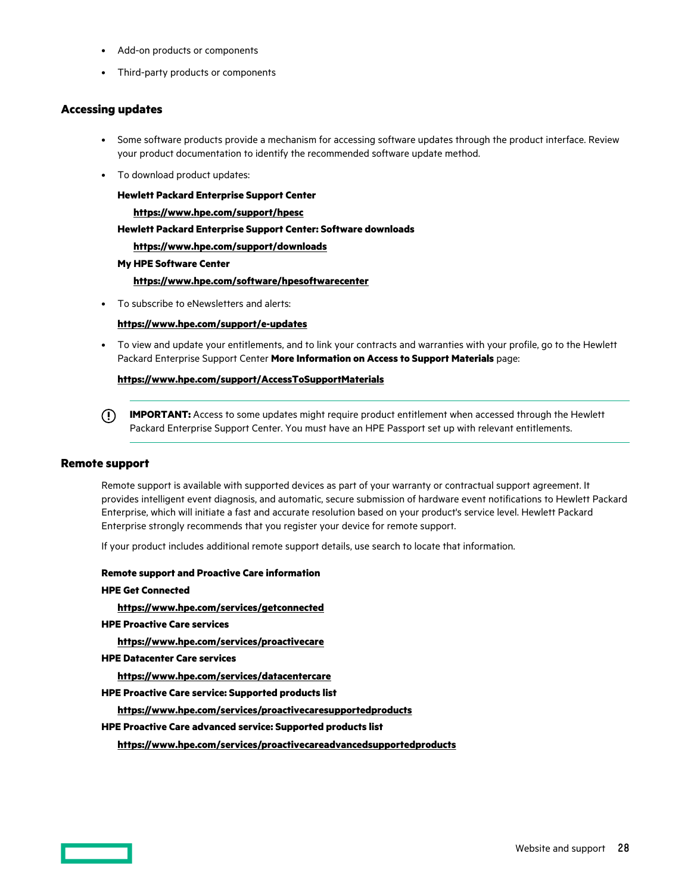- <span id="page-27-0"></span>• Add-on products or components
- Third-party products or components

#### **Accessing updates**

- Some software products provide a mechanism for accessing software updates through the product interface. Review your product documentation to identify the recommended software update method.
- To download product updates:

**Hewlett Packard Enterprise Support Center <https://www.hpe.com/support/hpesc> Hewlett Packard Enterprise Support Center: Software downloads <https://www.hpe.com/support/downloads> My HPE Software Center <https://www.hpe.com/software/hpesoftwarecenter>**

• To subscribe to eNewsletters and alerts:

#### **<https://www.hpe.com/support/e-updates>**

• To view and update your entitlements, and to link your contracts and warranties with your profile, go to the Hewlett Packard Enterprise Support Center **More Information on Access to Support Materials** page:

#### **<https://www.hpe.com/support/AccessToSupportMaterials>**

**IMPORTANT:** Access to some updates might require product entitlement when accessed through the Hewlett Packard Enterprise Support Center. You must have an HPE Passport set up with relevant entitlements.

#### **Remote support**

Remote support is available with supported devices as part of your warranty or contractual support agreement. It provides intelligent event diagnosis, and automatic, secure submission of hardware event notifications to Hewlett Packard Enterprise, which will initiate a fast and accurate resolution based on your product's service level. Hewlett Packard Enterprise strongly recommends that you register your device for remote support.

If your product includes additional remote support details, use search to locate that information.

#### **Remote support and Proactive Care information**

#### **HPE Get Connected**

**<https://www.hpe.com/services/getconnected>**

**HPE Proactive Care services**

**<https://www.hpe.com/services/proactivecare>**

**HPE Datacenter Care services**

**<https://www.hpe.com/services/datacentercare>**

**HPE Proactive Care service: Supported products list**

**<https://www.hpe.com/services/proactivecaresupportedproducts>**

#### **HPE Proactive Care advanced service: Supported products list**

**<https://www.hpe.com/services/proactivecareadvancedsupportedproducts>**